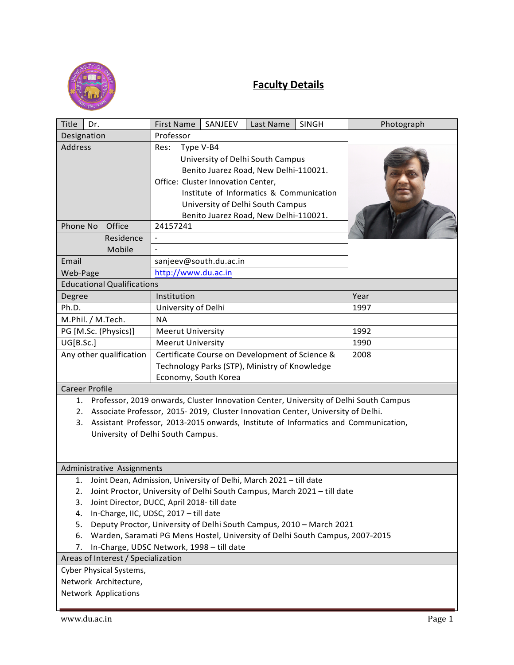

## **Faculty Details**

| <b>Title</b><br>Dr.                                                                         | <b>First Name</b><br>SANJEEV                                                       | Last Name<br><b>SINGH</b> | Photograph |
|---------------------------------------------------------------------------------------------|------------------------------------------------------------------------------------|---------------------------|------------|
| Designation                                                                                 | Professor                                                                          |                           |            |
| <b>Address</b>                                                                              | Res:<br>Type V-B4                                                                  |                           |            |
|                                                                                             | University of Delhi South Campus                                                   |                           |            |
|                                                                                             | Benito Juarez Road, New Delhi-110021.                                              |                           |            |
|                                                                                             | Office: Cluster Innovation Center,                                                 |                           |            |
|                                                                                             | Institute of Informatics & Communication                                           |                           |            |
|                                                                                             | University of Delhi South Campus                                                   |                           |            |
|                                                                                             | Benito Juarez Road, New Delhi-110021.                                              |                           |            |
| Phone No<br>Office                                                                          | 24157241                                                                           |                           |            |
| Residence                                                                                   |                                                                                    |                           |            |
| Mobile                                                                                      |                                                                                    |                           |            |
| Email                                                                                       | sanjeev@south.du.ac.in                                                             |                           |            |
| Web-Page                                                                                    | http://www.du.ac.in                                                                |                           |            |
| <b>Educational Qualifications</b>                                                           |                                                                                    |                           |            |
| Degree                                                                                      | Institution                                                                        |                           | Year       |
| Ph.D.                                                                                       | University of Delhi                                                                |                           | 1997       |
| M.Phil. / M.Tech.                                                                           | <b>NA</b>                                                                          |                           |            |
| PG [M.Sc. (Physics)]                                                                        | <b>Meerut University</b>                                                           |                           | 1992       |
| UG[B.Sc.]                                                                                   | <b>Meerut University</b>                                                           |                           | 1990       |
| Any other qualification                                                                     | Certificate Course on Development of Science &                                     |                           | 2008       |
|                                                                                             | Technology Parks (STP), Ministry of Knowledge                                      |                           |            |
|                                                                                             | Economy, South Korea                                                               |                           |            |
| <b>Career Profile</b>                                                                       |                                                                                    |                           |            |
| Professor, 2019 onwards, Cluster Innovation Center, University of Delhi South Campus<br>1.  |                                                                                    |                           |            |
| Associate Professor, 2015-2019, Cluster Innovation Center, University of Delhi.<br>2.       |                                                                                    |                           |            |
| Assistant Professor, 2013-2015 onwards, Institute of Informatics and Communication,<br>3.   |                                                                                    |                           |            |
| University of Delhi South Campus.                                                           |                                                                                    |                           |            |
|                                                                                             |                                                                                    |                           |            |
|                                                                                             |                                                                                    |                           |            |
| Administrative Assignments                                                                  |                                                                                    |                           |            |
| 1.                                                                                          | Joint Dean, Admission, University of Delhi, March 2021 - till date                 |                           |            |
|                                                                                             | 2. Joint Proctor, University of Delhi South Campus, March 2021 - till date         |                           |            |
| Joint Director, DUCC, April 2018- till date<br>3.<br>In-Charge, IIC, UDSC, 2017 - till date |                                                                                    |                           |            |
| 4.                                                                                          | Deputy Proctor, University of Delhi South Campus, 2010 - March 2021                |                           |            |
| 5.                                                                                          | Warden, Saramati PG Mens Hostel, University of Delhi South Campus, 2007-2015<br>6. |                           |            |
| In-Charge, UDSC Network, 1998 - till date<br>7.                                             |                                                                                    |                           |            |
| Areas of Interest / Specialization                                                          |                                                                                    |                           |            |
| Cyber Physical Systems,                                                                     |                                                                                    |                           |            |
| Network Architecture,                                                                       |                                                                                    |                           |            |
| <b>Network Applications</b>                                                                 |                                                                                    |                           |            |
|                                                                                             |                                                                                    |                           |            |

Ĺ.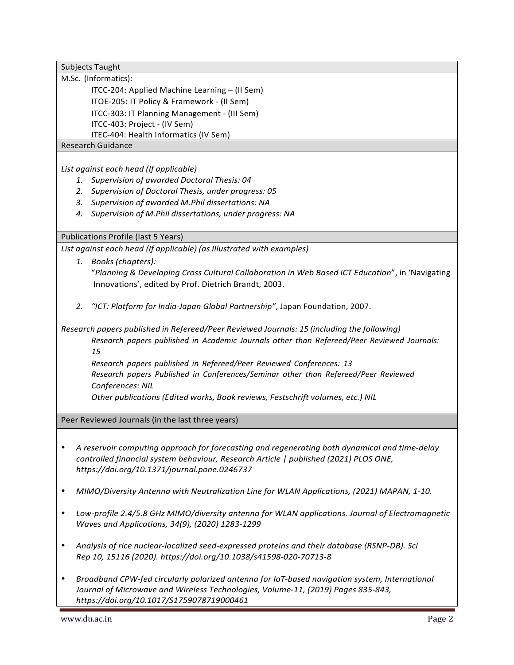Subjects Taught

M.Sc. (Informatics):

ITCC-204: Applied Machine Learning – (II Sem) ITOE-205: IT Policy & Framework - (II Sem)

ITCC-303: IT Planning Management - (III Sem)

ITCC-403: Project - (IV Sem)

ITEC-404: Health Informatics (IV Sem)

Research Guidance

*List against each head (If applicable)*

- *1. Supervision of awarded Doctoral Thesis: 04*
- *2. Supervision of Doctoral Thesis, under progress: 05*
- *3. Supervision of awarded M.Phil dissertations: NA*
- *4. Supervision of M.Phil dissertations, under progress: NA*

Publications Profile (last 5 Years)

*List against each head (If applicable) (as Illustrated with examples)*

- *1. Books (chapters):* "*Planning & Developing Cross Cultural Collaboration in Web Based ICT Education*", in 'Navigating Innovations', edited by Prof. Dietrich Brandt, 2003.
- 2. *"ICT: Platform for India-Japan Global Partnership", Japan Foundation, 2007.*

*Research papers published in Refereed/Peer Reviewed Journals: 15 (including the following) Research papers published in Academic Journals other than Refereed/Peer Reviewed Journals: 15*

*Research papers published in Refereed/Peer Reviewed Conferences: 13 Research papers Published in Conferences/Seminar other than Refereed/Peer Reviewed Conferences: NIL*

*Other publications (Edited works, Book reviews, Festschrift volumes, etc.) NIL*

Peer Reviewed Journals (in the last three years)

- A reservoir computing approach for forecasting and regenerating both dynamical and time-delay *controlled financial system behaviour, Research Article | published (2021) PLOS ONE, https://doi.org/10.1371/journal.pone.0246737*
- MIMO/Diversity Antenna with Neutralization Line for WLAN Applications, (2021) MAPAN, 1-10.
- Low-profile 2.4/5.8 GHz MIMO/diversity antenna for WLAN applications. Journal of Electromagnetic *Waves and Applications, 34(9), (2020) 1283-1299*
- Analysis of rice nuclear-localized seed-expressed proteins and their database (RSNP-DB). Sci *Rep 10, 15116 (2020). https://doi.org/10.1038/s41598-020-70713-8*
- Broadband CPW-fed circularly polarized antenna for IoT-based navigation system, International Journal of Microwave and Wireless Technologies, Volume-11, (2019) Pages 835-843, *https://doi.org/10.1017/S1759078719000461*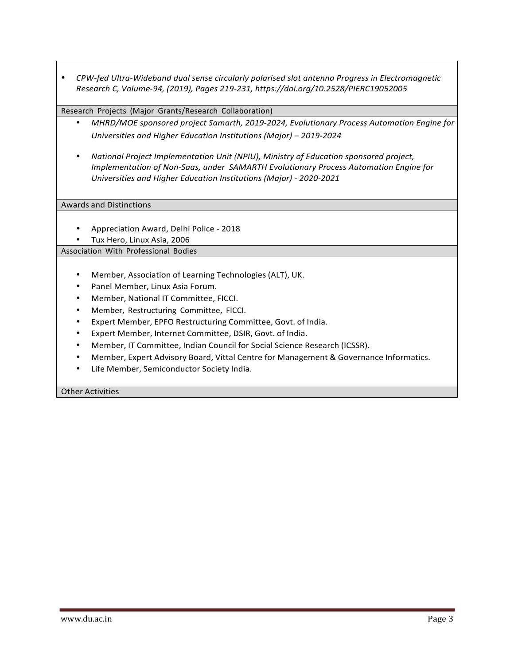• CPW-fed Ultra-Wideband dual sense circularly polarised slot antenna Progress in Electromagnetic *Research C, Volume-94, (2019), Pages 219-231, https://doi.org/10.2528/PIERC19052005*

## Research Projects (Major Grants/Research Collaboration)

- *MHRD/MOE sponsored project Samarth, 2019-2024, Evolutionary Process Automation Engine for Universities and Higher Education Institutions (Major)* – 2019-2024
- National Project Implementation Unit (NPIU), Ministry of Education sponsored project, *Implementation of Non-Saas, under SAMARTH Evolutionary Process Automation Engine for Universities and Higher Education Institutions (Major) - 2020-2021*

Awards and Distinctions

- Appreciation Award, Delhi Police 2018
- Tux Hero, Linux Asia, 2006

Association With Professional Bodies

- Member, Association of Learning Technologies (ALT), UK.
- Panel Member, Linux Asia Forum.
- Member, National IT Committee, FICCI.
- Member, Restructuring Committee, FICCI.
- Expert Member, EPFO Restructuring Committee, Govt. of India.
- Expert Member, Internet Committee, DSIR, Govt. of India.
- Member, IT Committee, Indian Council for Social Science Research (ICSSR).
- Member, Expert Advisory Board, Vittal Centre for Management & Governance Informatics.
- Life Member, Semiconductor Society India.

Other Activities